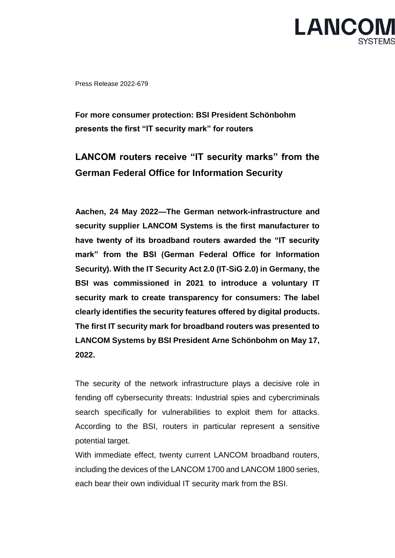

Press Release 2022-679

**For more consumer protection: BSI President Schönbohm presents the first "IT security mark" for routers**

## **LANCOM routers receive "IT security marks" from the German Federal Office for Information Security**

**Aachen, 24 May 2022—The German network-infrastructure and security supplier LANCOM Systems is the first manufacturer to have twenty of its broadband routers awarded the "IT security mark" from the BSI (German Federal Office for Information Security). With the IT Security Act 2.0 (IT-SiG 2.0) in Germany, the BSI was commissioned in 2021 to introduce a voluntary IT security mark to create transparency for consumers: The label clearly identifies the security features offered by digital products. The first IT security mark for broadband routers was presented to LANCOM Systems by BSI President Arne Schönbohm on May 17, 2022.**

The security of the network infrastructure plays a decisive role in fending off cybersecurity threats: Industrial spies and cybercriminals search specifically for vulnerabilities to exploit them for attacks. According to the BSI, routers in particular represent a sensitive potential target.

With immediate effect, twenty current LANCOM broadband routers, including the devices of the LANCOM 1700 and LANCOM 1800 series, each bear their own individual IT security mark from the BSI.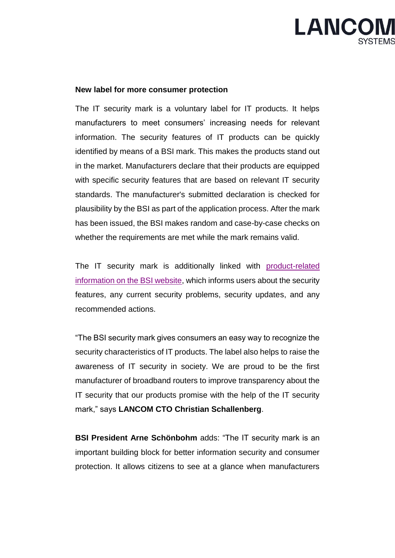

## **New label for more consumer protection**

The IT security mark is a voluntary label for IT products. It helps manufacturers to meet consumers' increasing needs for relevant information. The security features of IT products can be quickly identified by means of a BSI mark. This makes the products stand out in the market. Manufacturers declare that their products are equipped with specific security features that are based on relevant IT security standards. The manufacturer's submitted declaration is checked for plausibility by the BSI as part of the application process. After the mark has been issued, the BSI makes random and case-by-case checks on whether the requirements are met while the mark remains valid.

The IT security mark is additionally linked with product-related [information on the BSI website,](https://www.bsi.bund.de/DE/Themen/Unternehmen-und-Organisationen/IT-Sicherheitskennzeichen/it-sicherheitskennzeichen_node.html) which informs users about the security features, any current security problems, security updates, and any recommended actions.

"The BSI security mark gives consumers an easy way to recognize the security characteristics of IT products. The label also helps to raise the awareness of IT security in society. We are proud to be the first manufacturer of broadband routers to improve transparency about the IT security that our products promise with the help of the IT security mark," says **LANCOM CTO Christian Schallenberg**.

**BSI President Arne Schönbohm** adds: "The IT security mark is an important building block for better information security and consumer protection. It allows citizens to see at a glance when manufacturers